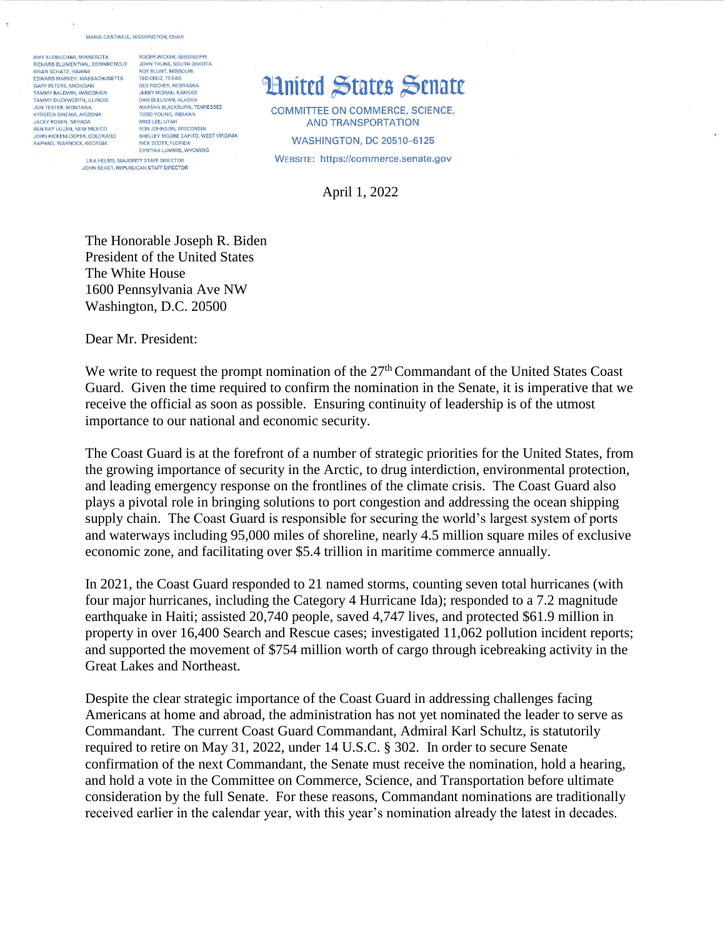## MARIA CANTWELL, WASHINGTON, CHAIR

AMY KLOBUCHAR, MINNESOTA RICHARD BLUMENTHAL, CONNECTICUT BRIAN SCHATZ, HAWAII EDWARD MARKEY, MASSACHUSETTS **GARY PETERS, MICHIGAN** TAMMY BALDWIN, WISCONSIN TAMMY DUCKWORTH, ILLINOIS<br>JON TESTER, MONTANA KYRSTEN SINEMA, ARIZONA JACKY ROSEN, NEVADA BEN RAY LUJÁN, NEW MEXICO JOHN HICKENLOOPER, COLORADO **RAPHAEL WARNOCK GEORGIA** 

ROGER WICKER, MISSISSIPP JOHN THUNE, SOUTH DAKOTA BOY BLUNT, MISSOURI TED CRUZ, TEXAS<br>DEB FISCHER, NEBRASKA JERRY MORAN, KANSAS DAN SULLIVAN, ALASKA MARSHA BLACKBURN, TENNESSEE **TODD YOUNG, INDIANA** MIKE LEE, UTAH RON JOHNSON, WISCONSIN<br>SHELLEY MOORE CAPITO, WEST VIRGINIA BICK SCOTT, FLORIDA CYNTHIA LUMMIS, WYOMING LILA HELMS, MAJORITY STAFF DIRECTOR JOHN KEAST, REPUBLICAN STAFF DIRECTOR

## **Hnited States Senate**

COMMITTEE ON COMMERCE, SCIENCE, **AND TRANSPORTATION WASHINGTON, DC 20510-6125** WEBSITE: https://commerce.senate.gov

April 1, 2022

The Honorable Joseph R. Biden President of the United States The White House 1600 Pennsylvania Ave NW Washington, D.C. 20500

Dear Mr. President:

We write to request the prompt nomination of the  $27<sup>th</sup>$  Commandant of the United States Coast Guard. Given the time required to confirm the nomination in the Senate, it is imperative that we receive the official as soon as possible. Ensuring continuity of leadership is of the utmost importance to our national and economic security.

The Coast Guard is at the forefront of a number of strategic priorities for the United States, from the growing importance of security in the Arctic, to drug interdiction, environmental protection, and leading emergency response on the frontlines of the climate crisis. The Coast Guard also plays a pivotal role in bringing solutions to port congestion and addressing the ocean shipping supply chain. The Coast Guard is responsible for securing the world's largest system of ports and waterways including 95,000 miles of shoreline, nearly 4.5 million square miles of exclusive economic zone, and facilitating over \$5.4 trillion in maritime commerce annually.

In 2021, the Coast Guard responded to 21 named storms, counting seven total hurricanes (with four major hurricanes, including the Category 4 Hurricane Ida); responded to a 7.2 magnitude earthquake in Haiti; assisted 20,740 people, saved 4,747 lives, and protected \$61.9 million in property in over 16,400 Search and Rescue cases; investigated 11,062 pollution incident reports; and supported the movement of \$754 million worth of cargo through icebreaking activity in the Great Lakes and Northeast.

Despite the clear strategic importance of the Coast Guard in addressing challenges facing Americans at home and abroad, the administration has not yet nominated the leader to serve as Commandant. The current Coast Guard Commandant, Admiral Karl Schultz, is statutorily required to retire on May 31, 2022, under 14 U.S.C. § 302. In order to secure Senate confirmation of the next Commandant, the Senate must receive the nomination, hold a hearing, and hold a vote in the Committee on Commerce, Science, and Transportation before ultimate consideration by the full Senate. For these reasons, Commandant nominations are traditionally received earlier in the calendar year, with this year's nomination already the latest in decades.